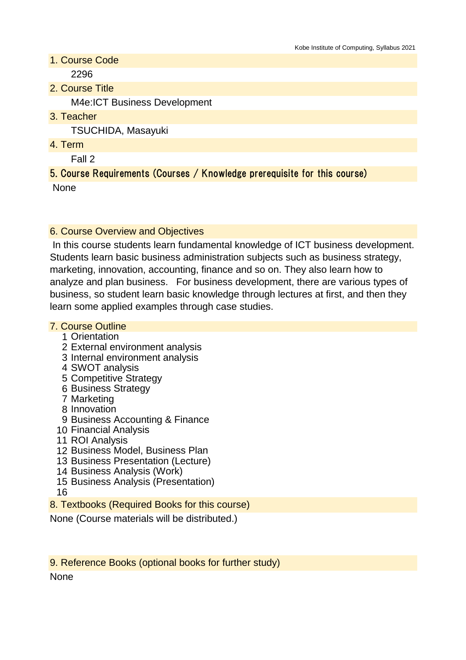- 1. Course Code 2296
- 2. Course Title

M4e:ICT Business Development

3. Teacher

TSUCHIDA, Masayuki

4. Term

Fall 2

## 5. Course Requirements (Courses / Knowledge prerequisite for this course)

None

## 6. Course Overview and Objectives

 In this course students learn fundamental knowledge of ICT business development. Students learn basic business administration subjects such as business strategy, marketing, innovation, accounting, finance and so on. They also learn how to analyze and plan business. For business development, there are various types of business, so student learn basic knowledge through lectures at first, and then they learn some applied examples through case studies.

### 7. Course Outline

- 1 Orientation
- 2 External environment analysis
- 3 Internal environment analysis
- 4 SWOT analysis
- 5 Competitive Strategy
- 6 Business Strategy
- 7 Marketing
- 8 Innovation
- 9 Business Accounting & Finance
- 10 Financial Analysis
- 11 ROI Analysis
- 12 Business Model, Business Plan
- 13 Business Presentation (Lecture)
- 14 Business Analysis (Work)
- 15 Business Analysis (Presentation)
- 16
- 8. Textbooks (Required Books for this course)

None (Course materials will be distributed.)

9. Reference Books (optional books for further study)

**None**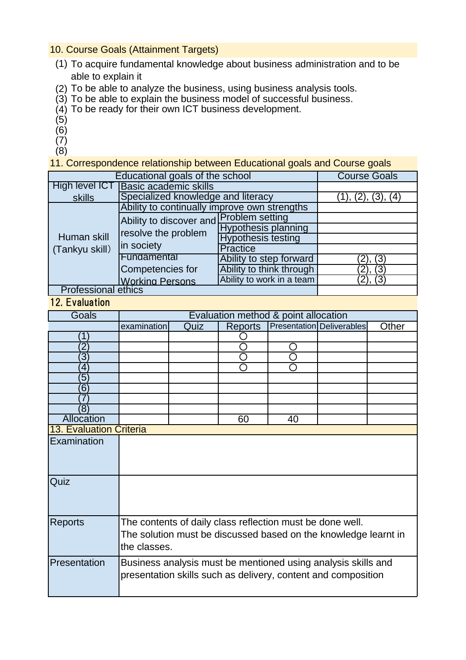#### 10. Course Goals (Attainment Targets)

- (1) To acquire fundamental knowledge about business administration and to be able to explain it
- (2) To be able to analyze the business, using business analysis tools.
- (3) To be able to explain the business model of successful business.
- (4) To be ready for their own ICT business development.
- (5)
- $(6)$
- $(7)$
- $(8)$

11. Correspondence relationship between Educational goals and Course goals

| Educational goals of the school |                                                                              |                            | <b>Course Goals</b> |  |
|---------------------------------|------------------------------------------------------------------------------|----------------------------|---------------------|--|
| High level ICT                  | <b>Basic academic skills</b>                                                 |                            |                     |  |
| skills                          | Specialized knowledge and literacy                                           | (1), (2), (3), (4)         |                     |  |
| Human skill<br>(Tankyu skill)   | Ability to continually improve own strengths                                 |                            |                     |  |
|                                 | Ability to discover and Problem setting<br>resolve the problem<br>in society |                            |                     |  |
|                                 |                                                                              | <b>Hypothesis planning</b> |                     |  |
|                                 |                                                                              | <b>Hypothesis testing</b>  |                     |  |
|                                 |                                                                              | <b>Practice</b>            |                     |  |
|                                 | Fundamental                                                                  | Ability to step forward    | (2), (3)            |  |
|                                 | Competencies for                                                             | Ability to think through   | (2), (3)            |  |
|                                 | <b>Working Persons</b>                                                       | Ability to work in a team  |                     |  |
| <b>Professional ethics</b>      |                                                                              |                            |                     |  |

# 12. Evaluation

| Goals             | Evaluation method & point allocation                                                                                                         |      |                |    |                                                                                                                                |       |
|-------------------|----------------------------------------------------------------------------------------------------------------------------------------------|------|----------------|----|--------------------------------------------------------------------------------------------------------------------------------|-------|
|                   | examination                                                                                                                                  | Quiz | <b>Reports</b> |    | <b>Presentation Deliverables</b>                                                                                               | Other |
| 1                 |                                                                                                                                              |      |                |    |                                                                                                                                |       |
| $\mathbf 2$       |                                                                                                                                              |      |                |    |                                                                                                                                |       |
| $\overline{3}$    |                                                                                                                                              |      |                |    |                                                                                                                                |       |
| 4                 |                                                                                                                                              |      |                |    |                                                                                                                                |       |
| $\overline{5}$    |                                                                                                                                              |      |                |    |                                                                                                                                |       |
| $6^{\circ}$       |                                                                                                                                              |      |                |    |                                                                                                                                |       |
|                   |                                                                                                                                              |      |                |    |                                                                                                                                |       |
| $\overline{8}$    |                                                                                                                                              |      |                |    |                                                                                                                                |       |
| <b>Allocation</b> |                                                                                                                                              |      | 60             | 40 |                                                                                                                                |       |
|                   | <b>13. Evaluation Criteria</b>                                                                                                               |      |                |    |                                                                                                                                |       |
| Examination       |                                                                                                                                              |      |                |    |                                                                                                                                |       |
| Quiz              |                                                                                                                                              |      |                |    |                                                                                                                                |       |
| <b>Reports</b>    | The contents of daily class reflection must be done well.<br>The solution must be discussed based on the knowledge learnt in<br>the classes. |      |                |    |                                                                                                                                |       |
| Presentation      |                                                                                                                                              |      |                |    | Business analysis must be mentioned using analysis skills and<br>presentation skills such as delivery, content and composition |       |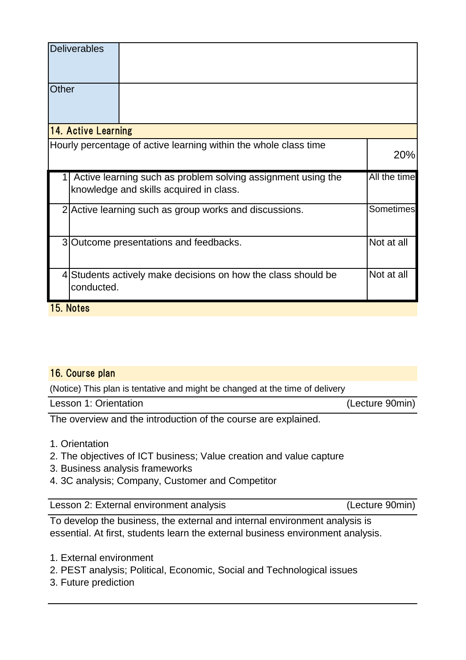| <b>Deliverables</b>        |                                                                                                         |              |
|----------------------------|---------------------------------------------------------------------------------------------------------|--------------|
| Other                      |                                                                                                         |              |
| <b>14. Active Learning</b> |                                                                                                         |              |
|                            | Hourly percentage of active learning within the whole class time                                        | 20%          |
|                            | Active learning such as problem solving assignment using the<br>knowledge and skills acquired in class. | All the time |
|                            | 2 Active learning such as group works and discussions.                                                  | Sometimes    |
|                            | 3 Outcome presentations and feedbacks.                                                                  | Not at all   |
| conducted.                 | 4 Students actively make decisions on how the class should be                                           | Not at all   |
| 15. Notes                  |                                                                                                         |              |

#### 16. Course plan

(Notice) This plan is tentative and might be changed at the time of delivery

| (Lecture 90min)<br>Lesson 1: Orientation |
|------------------------------------------|
|------------------------------------------|

The overview and the introduction of the course are explained.

- 1. Orientation
- 2. The objectives of ICT business; Value creation and value capture
- 3. Business analysis frameworks
- 4. 3C analysis; Company, Customer and Competitor

Lesson 2: External environment analysis (Lecture 90min)

To develop the business, the external and internal environment analysis is essential. At first, students learn the external business environment analysis.

- 1. External environment
- 2. PEST analysis; Political, Economic, Social and Technological issues
- 3. Future prediction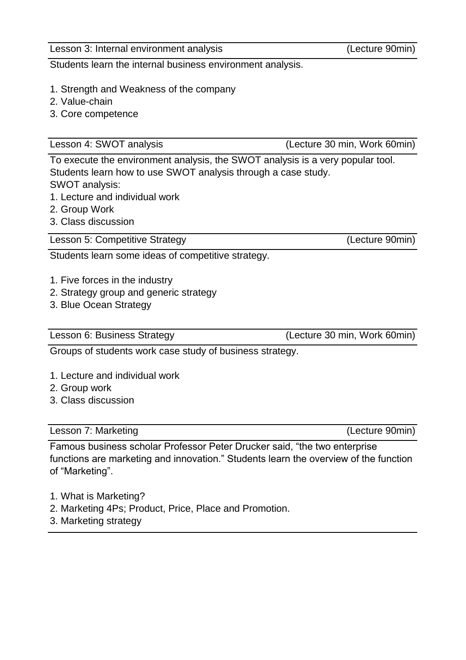Students learn the internal business environment analysis.

- 1. Strength and Weakness of the company
- 2. Value-chain
- 3. Core competence

Lesson 4: SWOT analysis (Lecture 30 min, Work 60min)

To execute the environment analysis, the SWOT analysis is a very popular tool. Students learn how to use SWOT analysis through a case study. SWOT analysis:

- 1. Lecture and individual work
- 2. Group Work
- 3. Class discussion

Lesson 5: Competitive Strategy (Lecture 90min)

Students learn some ideas of competitive strategy.

- 1. Five forces in the industry
- 2. Strategy group and generic strategy
- 3. Blue Ocean Strategy

Lesson 6: Business Strategy (Lecture 30 min, Work 60min)

Groups of students work case study of business strategy.

- 1. Lecture and individual work
- 2. Group work
- 3. Class discussion

Lesson 7: Marketing (Lecture 90min)

Famous business scholar Professor Peter Drucker said, "the two enterprise functions are marketing and innovation." Students learn the overview of the function of "Marketing".

- 1. What is Marketing?
- 2. Marketing 4Ps; Product, Price, Place and Promotion.
- 3. Marketing strategy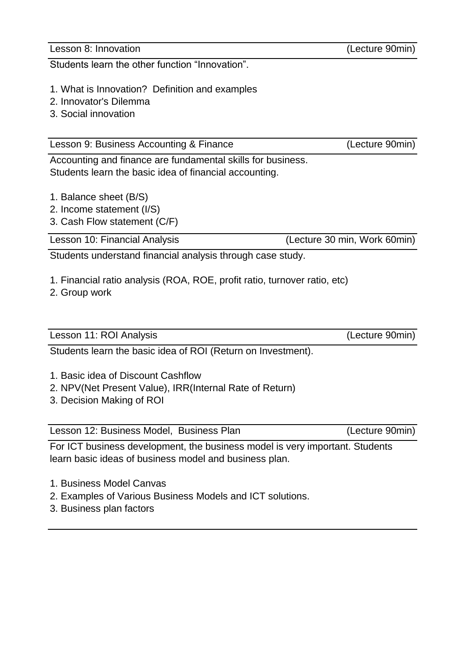Lesson 8: Innovation (Lecture 90min)

Students learn the other function "Innovation".

- 1. What is Innovation? Definition and examples
- 2. Innovator's Dilemma
- 3. Social innovation

Lesson 9: Business Accounting & Finance (Lecture 90min)

Accounting and finance are fundamental skills for business. Students learn the basic idea of financial accounting.

- 1. Balance sheet (B/S)
- 2. Income statement (I/S)
- 3. Cash Flow statement (C/F)

Lesson 10: Financial Analysis (Lecture 30 min, Work 60min)

Students understand financial analysis through case study.

- 1. Financial ratio analysis (ROA, ROE, profit ratio, turnover ratio, etc)
- 2. Group work

Lesson 11: ROI Analysis (Lecture 90min)

Students learn the basic idea of ROI (Return on Investment).

- 1. Basic idea of Discount Cashflow
- 2. NPV(Net Present Value), IRR(Internal Rate of Return)
- 3. Decision Making of ROI

Lesson 12: Business Model, Business Plan (Lecture 90min)

For ICT business development, the business model is very important. Students learn basic ideas of business model and business plan.

- 1. Business Model Canvas
- 2. Examples of Various Business Models and ICT solutions.
- 3. Business plan factors